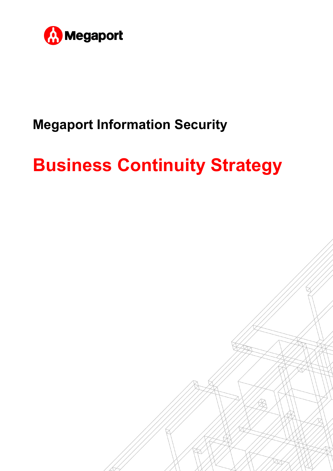

# **Megaport Information Security**

# **Business Continuity Strategy**

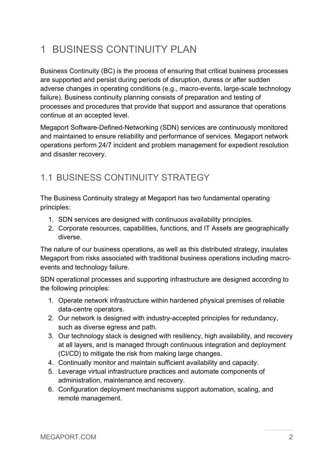## 1 BUSINESS CONTINUITY PLAN

Business Continuity (BC) is the process of ensuring that critical business processes are supported and persist during periods of disruption, duress or after sudden adverse changes in operating conditions (e.g., macro-events, large-scale technology failure). Business continuity planning consists of preparation and testing of processes and procedures that provide that support and assurance that operations continue at an accepted level.

Megaport Software-Defined-Networking (SDN) services are continuously monitored and maintained to ensure reliability and performance of services. Megaport network operations perform 24/7 incident and problem management for expedient resolution and disaster recovery.

#### 1.1 BUSINESS CONTINUITY STRATEGY

The Business Continuity strategy at Megaport has two fundamental operating principles:

- 1. SDN services are designed with continuous availability principles.
- 2. Corporate resources, capabilities, functions, and IT Assets are geographically diverse.

The nature of our business operations, as well as this distributed strategy, insulates Megaport from risks associated with traditional business operations including macroevents and technology failure.

SDN operational processes and supporting infrastructure are designed according to the following principles:

- 1. Operate network infrastructure within hardened physical premises of reliable data-centre operators.
- 2. Our network is designed with industry-accepted principles for redundancy, such as diverse egress and path.
- 3. Our technology stack is designed with resiliency, high availability, and recovery at all layers, and is managed through continuous integration and deployment (CI/CD) to mitigate the risk from making large changes.
- 4. Continually monitor and maintain sufficient availability and capacity.
- 5. Leverage virtual infrastructure practices and automate components of administration, maintenance and recovery.
- 6. Configuration deployment mechanisms support automation, scaling, and remote management.